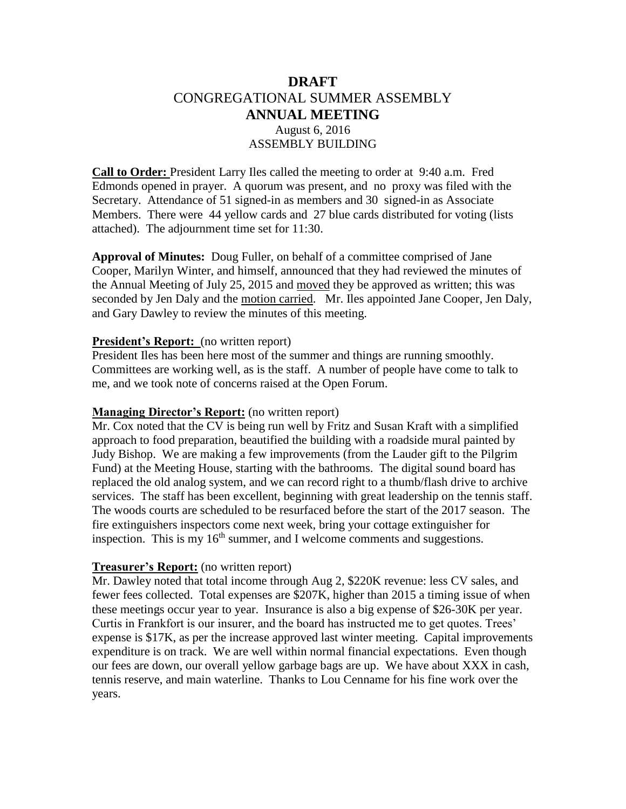# **DRAFT** CONGREGATIONAL SUMMER ASSEMBLY **ANNUAL MEETING** August 6, 2016 ASSEMBLY BUILDING

**Call to Order:** President Larry Iles called the meeting to order at 9:40 a.m. Fred Edmonds opened in prayer. A quorum was present, and no proxy was filed with the Secretary. Attendance of 51 signed-in as members and 30 signed-in as Associate Members. There were 44 yellow cards and 27 blue cards distributed for voting (lists attached). The adjournment time set for 11:30.

**Approval of Minutes:** Doug Fuller, on behalf of a committee comprised of Jane Cooper, Marilyn Winter, and himself, announced that they had reviewed the minutes of the Annual Meeting of July 25, 2015 and moved they be approved as written; this was seconded by Jen Daly and the motion carried. Mr. Iles appointed Jane Cooper, Jen Daly, and Gary Dawley to review the minutes of this meeting.

#### **President's Report:** (no written report)

President Iles has been here most of the summer and things are running smoothly. Committees are working well, as is the staff. A number of people have come to talk to me, and we took note of concerns raised at the Open Forum.

### **Managing Director's Report:** (no written report)

Mr. Cox noted that the CV is being run well by Fritz and Susan Kraft with a simplified approach to food preparation, beautified the building with a roadside mural painted by Judy Bishop. We are making a few improvements (from the Lauder gift to the Pilgrim Fund) at the Meeting House, starting with the bathrooms. The digital sound board has replaced the old analog system, and we can record right to a thumb/flash drive to archive services. The staff has been excellent, beginning with great leadership on the tennis staff. The woods courts are scheduled to be resurfaced before the start of the 2017 season. The fire extinguishers inspectors come next week, bring your cottage extinguisher for inspection. This is my  $16<sup>th</sup>$  summer, and I welcome comments and suggestions.

### **Treasurer's Report:** (no written report)

Mr. Dawley noted that total income through Aug 2, \$220K revenue: less CV sales, and fewer fees collected. Total expenses are \$207K, higher than 2015 a timing issue of when these meetings occur year to year. Insurance is also a big expense of \$26-30K per year. Curtis in Frankfort is our insurer, and the board has instructed me to get quotes. Trees' expense is \$17K, as per the increase approved last winter meeting. Capital improvements expenditure is on track. We are well within normal financial expectations. Even though our fees are down, our overall yellow garbage bags are up. We have about XXX in cash, tennis reserve, and main waterline. Thanks to Lou Cenname for his fine work over the years.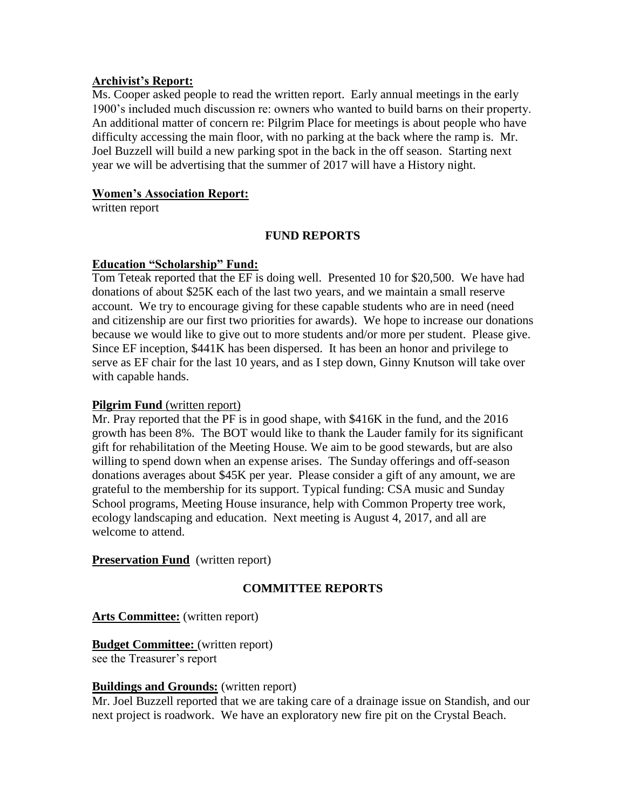### **Archivist's Report:**

Ms. Cooper asked people to read the written report. Early annual meetings in the early 1900's included much discussion re: owners who wanted to build barns on their property. An additional matter of concern re: Pilgrim Place for meetings is about people who have difficulty accessing the main floor, with no parking at the back where the ramp is. Mr. Joel Buzzell will build a new parking spot in the back in the off season. Starting next year we will be advertising that the summer of 2017 will have a History night.

### **Women's Association Report:**

written report

# **FUND REPORTS**

### **Education "Scholarship" Fund:**

Tom Teteak reported that the EF is doing well. Presented 10 for \$20,500. We have had donations of about \$25K each of the last two years, and we maintain a small reserve account. We try to encourage giving for these capable students who are in need (need and citizenship are our first two priorities for awards). We hope to increase our donations because we would like to give out to more students and/or more per student. Please give. Since EF inception, \$441K has been dispersed. It has been an honor and privilege to serve as EF chair for the last 10 years, and as I step down, Ginny Knutson will take over with capable hands.

### **Pilgrim Fund** (written report)

Mr. Pray reported that the PF is in good shape, with \$416K in the fund, and the 2016 growth has been 8%. The BOT would like to thank the Lauder family for its significant gift for rehabilitation of the Meeting House. We aim to be good stewards, but are also willing to spend down when an expense arises. The Sunday offerings and off-season donations averages about \$45K per year. Please consider a gift of any amount, we are grateful to the membership for its support. Typical funding: CSA music and Sunday School programs, Meeting House insurance, help with Common Property tree work, ecology landscaping and education. Next meeting is August 4, 2017, and all are welcome to attend.

### **Preservation Fund** (written report)

# **COMMITTEE REPORTS**

### **Arts Committee:** (written report)

**Budget Committee:** (written report) see the Treasurer's report

### **Buildings and Grounds:** (written report)

Mr. Joel Buzzell reported that we are taking care of a drainage issue on Standish, and our next project is roadwork. We have an exploratory new fire pit on the Crystal Beach.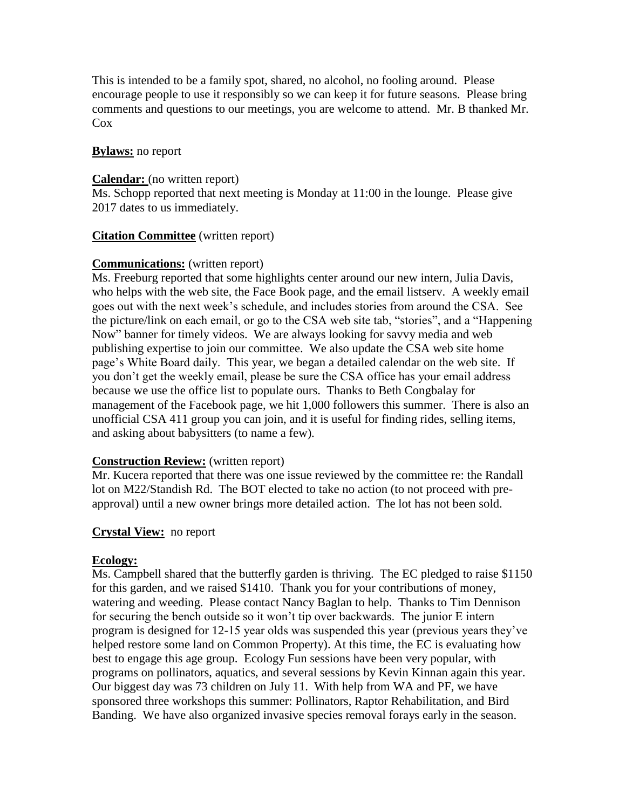This is intended to be a family spot, shared, no alcohol, no fooling around. Please encourage people to use it responsibly so we can keep it for future seasons. Please bring comments and questions to our meetings, you are welcome to attend. Mr. B thanked Mr. Cox

### **Bylaws:** no report

### **Calendar:** (no written report)

Ms. Schopp reported that next meeting is Monday at 11:00 in the lounge. Please give 2017 dates to us immediately.

### **Citation Committee** (written report)

### **Communications:** (written report)

Ms. Freeburg reported that some highlights center around our new intern, Julia Davis, who helps with the web site, the Face Book page, and the email listserv. A weekly email goes out with the next week's schedule, and includes stories from around the CSA. See the picture/link on each email, or go to the CSA web site tab, "stories", and a "Happening Now" banner for timely videos. We are always looking for savvy media and web publishing expertise to join our committee. We also update the CSA web site home page's White Board daily. This year, we began a detailed calendar on the web site. If you don't get the weekly email, please be sure the CSA office has your email address because we use the office list to populate ours. Thanks to Beth Congbalay for management of the Facebook page, we hit 1,000 followers this summer. There is also an unofficial CSA 411 group you can join, and it is useful for finding rides, selling items, and asking about babysitters (to name a few).

### **Construction Review:** (written report)

Mr. Kucera reported that there was one issue reviewed by the committee re: the Randall lot on M22/Standish Rd. The BOT elected to take no action (to not proceed with preapproval) until a new owner brings more detailed action. The lot has not been sold.

### **Crystal View:** no report

### **Ecology:**

Ms. Campbell shared that the butterfly garden is thriving. The EC pledged to raise \$1150 for this garden, and we raised \$1410. Thank you for your contributions of money, watering and weeding. Please contact Nancy Baglan to help. Thanks to Tim Dennison for securing the bench outside so it won't tip over backwards. The junior E intern program is designed for 12-15 year olds was suspended this year (previous years they've helped restore some land on Common Property). At this time, the EC is evaluating how best to engage this age group. Ecology Fun sessions have been very popular, with programs on pollinators, aquatics, and several sessions by Kevin Kinnan again this year. Our biggest day was 73 children on July 11. With help from WA and PF, we have sponsored three workshops this summer: Pollinators, Raptor Rehabilitation, and Bird Banding. We have also organized invasive species removal forays early in the season.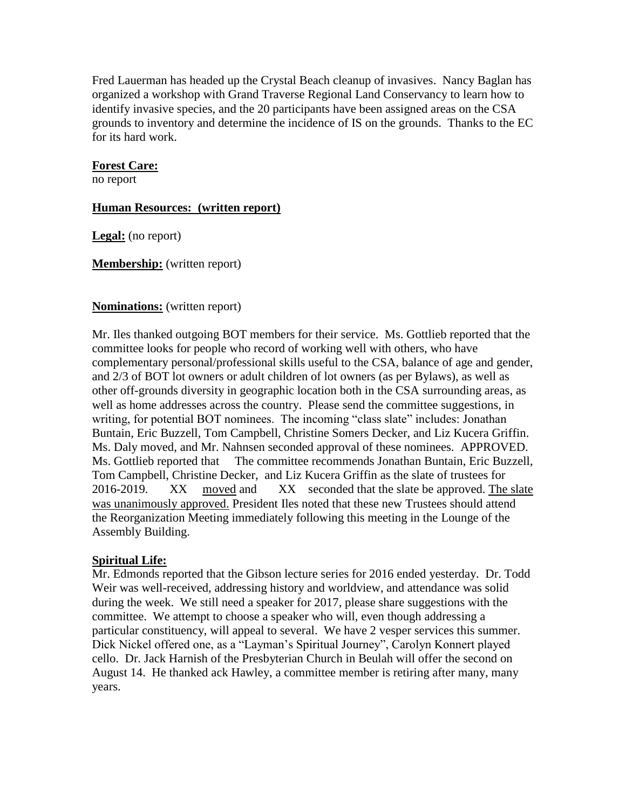Fred Lauerman has headed up the Crystal Beach cleanup of invasives. Nancy Baglan has organized a workshop with Grand Traverse Regional Land Conservancy to learn how to identify invasive species, and the 20 participants have been assigned areas on the CSA grounds to inventory and determine the incidence of IS on the grounds. Thanks to the EC for its hard work.

### **Forest Care:**

no report

### **Human Resources: (written report)**

**Legal:** (no report)

**Membership:** (written report)

### **Nominations:** (written report)

Mr. Iles thanked outgoing BOT members for their service. Ms. Gottlieb reported that the committee looks for people who record of working well with others, who have complementary personal/professional skills useful to the CSA, balance of age and gender, and 2/3 of BOT lot owners or adult children of lot owners (as per Bylaws), as well as other off-grounds diversity in geographic location both in the CSA surrounding areas, as well as home addresses across the country. Please send the committee suggestions, in writing, for potential BOT nominees. The incoming "class slate" includes: Jonathan Buntain, Eric Buzzell, Tom Campbell, Christine Somers Decker, and Liz Kucera Griffin. Ms. Daly moved, and Mr. Nahnsen seconded approval of these nominees. APPROVED. Ms. Gottlieb reported that The committee recommends Jonathan Buntain, Eric Buzzell, Tom Campbell, Christine Decker, and Liz Kucera Griffin as the slate of trustees for 2016-2019. XX moved and XX seconded that the slate be approved. The slate was unanimously approved. President Iles noted that these new Trustees should attend the Reorganization Meeting immediately following this meeting in the Lounge of the Assembly Building.

# **Spiritual Life:**

Mr. Edmonds reported that the Gibson lecture series for 2016 ended yesterday. Dr. Todd Weir was well-received, addressing history and worldview, and attendance was solid during the week. We still need a speaker for 2017, please share suggestions with the committee. We attempt to choose a speaker who will, even though addressing a particular constituency, will appeal to several. We have 2 vesper services this summer. Dick Nickel offered one, as a "Layman's Spiritual Journey", Carolyn Konnert played cello. Dr. Jack Harnish of the Presbyterian Church in Beulah will offer the second on August 14. He thanked ack Hawley, a committee member is retiring after many, many years.